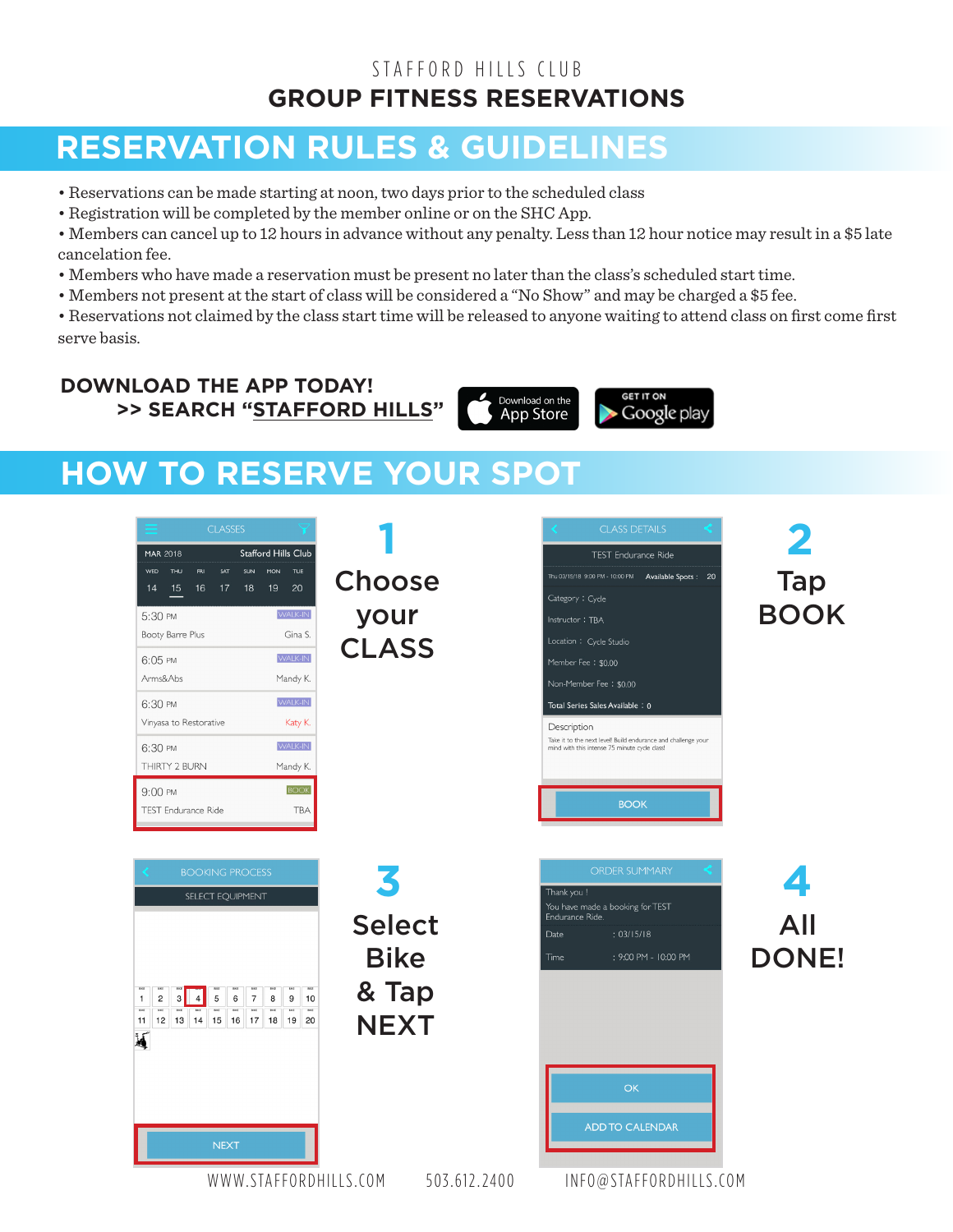## STAFFORD HILLS CLUB **GROUP FITNESS RESERVATIONS**

# **RESERVATION RULES & GUIDELINES**

- Reservations can be made starting at noon, two days prior to the scheduled class
- Registration will be completed by the member online or on the SHC App.
- Members can cancel up to 12 hours in advance without any penalty. Less than 12 hour notice may result in a \$5 late cancelation fee.
- Members who have made a reservation must be present no later than the class's scheduled start time.
- Members not present at the start of class will be considered a "No Show" and may be charged a \$5 fee.
- Reservations not claimed by the class start time will be released to anyone waiting to attend class on first come first serve basis.

**DOWNLOAD THE APP TODAY! >> SEARCH "STAFFORD HILLS"**

Download on the **App Store** 

**GET IT ON** Google play

# **HOW TO RESERVE YOUR SPOT**

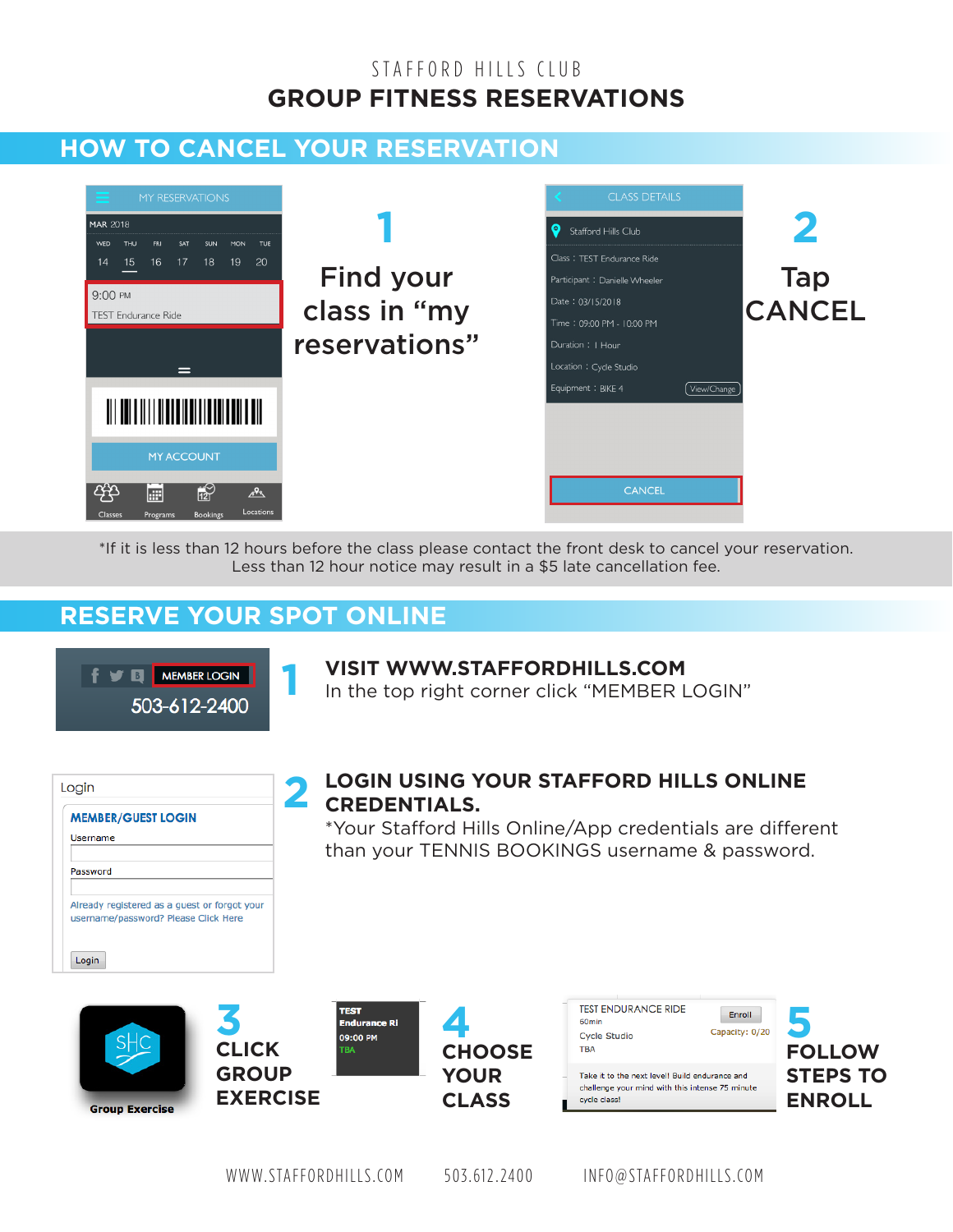## STAFFORD HILLS CLUB **GROUP FITNESS RESERVATIONS**

# **HOW TO CANCEL YOUR RESERVATION**



\*If it is less than 12 hours before the class please contact the front desk to cancel your reservation. Less than 12 hour notice may result in a \$5 late cancellation fee.

## **RESERVE YOUR SPOT ONLINE**



### **VISIT WWW.STAFFORDHILLS.COM**

In the top right corner click "MEMBER LOGIN"

|          | <b>MEMBER/GUEST LOGIN</b>                                                            |  |
|----------|--------------------------------------------------------------------------------------|--|
| Username |                                                                                      |  |
| Password |                                                                                      |  |
|          | Already registered as a guest or forgot your<br>username/password? Please Click Here |  |
| Login    |                                                                                      |  |

### **LOGIN USING YOUR STAFFORD HILLS ONLINE**  2 LOGIN USING

\*Your Stafford Hills Online/App credentials are different than your TENNIS BOOKINGS username & password.









Take it to the next level! Build endurance and challenge your mind with this intense 75 minute cycle class!